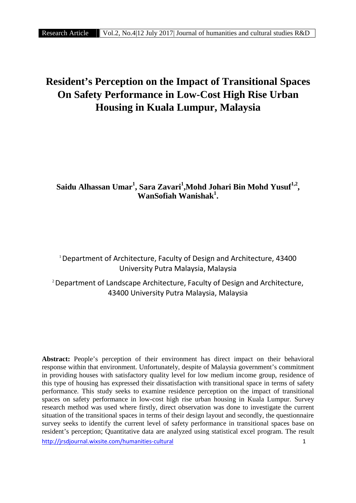# **Resident's Perception on the Impact of Transitional Spaces On Safety Performance in Low-Cost High Rise Urban Housing in Kuala Lumpur, Malaysia**

# **Saidu Alhassan Umar<sup>1</sup> , Sara Zavari<sup>1</sup> ,Mohd Johari Bin Mohd Yusuf1,2 , WanSofiah Wanishak<sup>1</sup> .**

<sup>1</sup> Department of Architecture, Faculty of Design and Architecture, 43400 University Putra Malaysia, Malaysia

<sup>2</sup>Department of Landscape Architecture, Faculty of Design and Architecture, 43400 University Putra Malaysia, Malaysia

**Abstract:** People's perception of their environment has direct impact on their behavioral response within that environment. Unfortunately, despite of Malaysia government's commitment in providing houses with satisfactory quality level for low medium income group, residence of this type of housing has expressed their dissatisfaction with transitional space in terms of safety performance. This study seeks to examine residence perception on the impact of transitional spaces on safety performance in low-cost high rise urban housing in Kuala Lumpur. Survey research method was used where firstly, direct observation was done to investigate the current situation of the transitional spaces in terms of their design layout and secondly, the questionnaire survey seeks to identify the current level of safety performance in transitional spaces base on resident's perception; Quantitative data are analyzed using statistical excel program. The result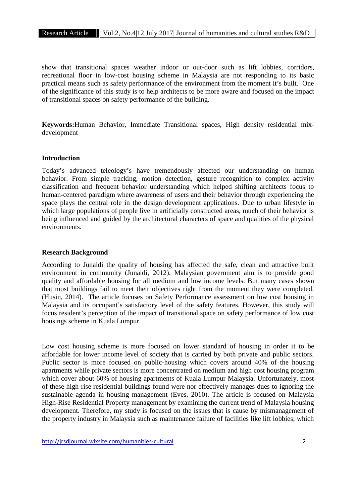show that transitional spaces weather indoor or out-door such as lift lobbies, corridors, recreational floor in low-cost housing scheme in Malaysia are not responding to its basic practical means such as safety performance of the environment from the moment it's built. One of the significance of this study is to help architects to be more aware and focused on the impact of transitional spaces on safety performance of the building.

**Keywords:**Human Behavior, Immediate Transitional spaces, High density residential mix development

# **Introduction**

Today's advanced teleology's have tremendously affected our understanding on human behavior. From simple tracking, motion detection, gesture recognition to complex activity classification and frequent behavior understanding which helped shifting architects focus to human-centered paradigm where awareness of users and their behavior through experiencing the space plays the central role in the design development applications. Due to urban lifestyle in which large populations of people live in artificially constructed areas, much of their behavior is being influenced and guided by the architectural characters of space and qualities of the physical environments.

# **Research Background**

According to Junaidi the quality of housing has affected the safe, clean and attractive built environment in community (Junaidi, 2012). Malaysian government aim is to provide good quality and affordable housing for all medium and low income levels. But many cases shown that most buildings fail to meet their objectives right from the moment they were completed. (Husin, 2014). The article focuses on Safety Performance assessment on low cost housing in Malaysia and its occupant's satisfactory level of the safety features. However, this study will focus resident's perception of the impact of transitional space on safety performance of low cost housings scheme in Kuala Lumpur.

Low cost housing scheme is more focused on lower standard of housing in order it to be affordable for lower income level of society that is carried by both private and public sectors. Public sector is more focused on public-housing which covers around 40% of the housing apartments while private sectors is more concentrated on medium and high cost housing program which cover about 60% of housing apartments of Kuala Lumpur Malaysia. Unfortunately, most of these high-rise residential buildings found were nor effectively manages dues to ignoring the sustainable agenda in housing management (Eves, 2010). The article is focused on Malaysia High-Rise Residential Property management by examining the current trend of Malaysia housing development. Therefore, my study is focused on the issues that is cause by mismanagement of the property industry in Malaysia such as maintenance failure of facilities like lift lobbies; which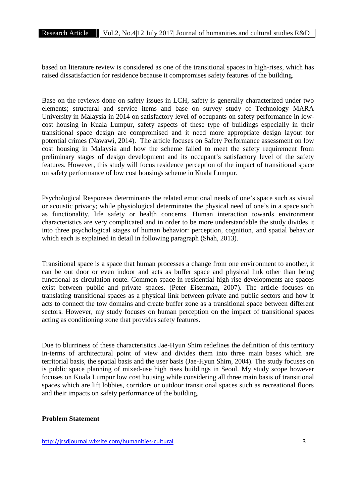based on literature review is considered as one of the transitional spaces in high-rises, which has raised dissatisfaction for residence because it compromises safety features of the building.

Base on the reviews done on safety issues in LCH, safety is generally characterized under two elements; structural and service items and base on survey study of Technology MARA University in Malaysia in 2014 on satisfactory level of occupants on safety performance in low cost housing in Kuala Lumpur, safety aspects of these type of buildings especially in their transitional space design are compromised and it need more appropriate design layout for potential crimes (Nawawi, 2014). The article focuses on Safety Performance assessment on low cost housing in Malaysia and how the scheme failed to meet the safety requirement from preliminary stages of design development and its occupant's satisfactory level of the safety features. However, this study will focus residence perception of the impact of transitional space on safety performance of low cost housings scheme in Kuala Lumpur.

Psychological Responses determinants the related emotional needs of one's space such as visual or acoustic privacy; while physiological determinates the physical need of one's in a space such as functionality, life safety or health concerns. Human interaction towards environment characteristics are very complicated and in order to be more understandable the study divides it into three psychological stages of human behavior: perception, cognition, and spatial behavior which each is explained in detail in following paragraph (Shah, 2013).

Transitional space is a space that human processes a change from one environment to another, it can be out door or even indoor and acts as buffer space and physical link other than being functional as circulation route. Common space in residential high rise developments are spaces exist between public and private spaces. (Peter Eisenman, 2007). The article focuses on translating transitional spaces as a physical link between private and public sectors and how it acts to connect the tow domains and create buffer zone as a transitional space between different sectors. However, my study focuses on human perception on the impact of transitional spaces acting as conditioning zone that provides safety features.

Due to blurriness of these characteristics Jae-Hyun Shim redefines the definition of this territory in-terms of architectural point of view and divides them into three main bases which are territorial basis, the spatial basis and the user basis (Jae-Hyun Shim, 2004). The study focuses on is public space planning of mixed-use high rises buildings in Seoul. My study scope however focuses on Kuala Lumpur low cost housing while considering all three main basis of transitional spaces which are lift lobbies, corridors or outdoor transitional spaces such as recreational floors and their impacts on safety performance of the building.

# **Problem Statement**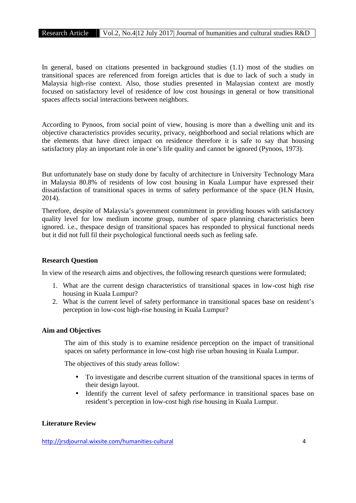In general, based on citations presented in background studies (1.1) most of the studies on transitional spaces are referenced from foreign articles that is due to lack of such a study in Malaysia high-rise context. Also, those studies presented in Malaysian context are mostly focused on satisfactory level of residence of low cost housings in general or how transitional spaces affects social interactions between neighbors.

According to Pynoos, from social point of view, housing is more than a dwelling unit and its objective characteristics provides security, privacy, neighborhood and social relations which are the elements that have direct impact on residence therefore it is safe to say that housing satisfactory play an important role in one's life quality and cannot be ignored (Pynoos, 1973).

But unfortunately base on study done by faculty of architecture in University Technology Mara in Malaysia 80.8% of residents of low cost housing in Kuala Lumpur have expressed their dissatisfaction of transitional spaces in terms of safety performance of the space (H.N Husin, 2014).

Therefore, despite of Malaysia's government commitment in providing houses with satisfactory quality level for low medium income group, number of space planning characteristics been ignored. i.e., thespace design of transitional spaces has responded to physical functional needs but it did not full fil their psychological functional needs such as feeling safe.

# **Research Question**

In view of the research aims and objectives, the following research questions were formulated;

- 1. What are the current design characteristics of transitional spaces in low-cost high rise housing in Kuala Lumpur?
- 2. What is the current level of safety performance in transitional spaces base on resident's perception in low-cost high-rise housing in Kuala Lumpur?

# **Aim and Objectives**

The aim of this study is to examine residence perception on the impact of transitional spaces on safety performance in low-cost high rise urban housing in Kuala Lumpur.

The objectives of this study areas follow:

- To investigate and describe current situation of the transitional spaces in terms of their design layout.
- Identify the current level of safety performance in transitional spaces base on resident's perception in low-cost high rise housing in Kuala Lumpur.

# **Literature Review**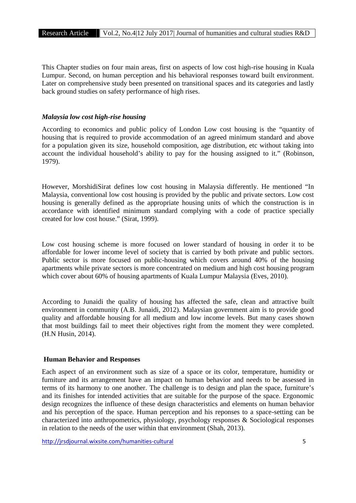This Chapter studies on four main areas, first on aspects of low cost high-rise housing in Kuala Lumpur. Second, on human perception and his behavioral responses toward built environment. Later on comprehensive study been presented on transitional spaces and its categories and lastly back ground studies on safety performance of high rises.

#### *Malaysia low cost high-rise housing*

According to economics and public policy of London Low cost housing is the "quantity of housing that is required to provide accommodation of an agreed minimum standard and above for a population given its size, household composition, age distribution, etc without taking into account the individual household's ability to pay for the housing assigned to it." (Robinson, 1979).

However, MorshidiSirat defines low cost housing in Malaysia differently. He mentioned "In Malaysia, conventional low cost housing is provided by the public and private sectors. Low cost housing is generally defined as the appropriate housing units of which the construction is in accordance with identified minimum standard complying with a code of practice specially created for low cost house." (Sirat, 1999).

Low cost housing scheme is more focused on lower standard of housing in order it to be affordable for lower income level of society that is carried by both private and public sectors. Public sector is more focused on public-housing which covers around 40% of the housing apartments while private sectors is more concentrated on medium and high cost housing program which cover about 60% of housing apartments of Kuala Lumpur Malaysia (Eves, 2010).

According to Junaidi the quality of housing has affected the safe, clean and attractive built environment in community (A.B. Junaidi, 2012). Malaysian government aim is to provide good quality and affordable housing for all medium and low income levels. But many cases shown that most buildings fail to meet their objectives right from the moment they were completed. (H.N Husin, 2014).

# **Human Behavior and Responses**

Each aspect of an environment such as size of a space or its color, temperature, humidity or furniture and its arrangement have an impact on human behavior and needs to be assessed in terms of its harmony to one another. The challenge is to design and plan the space, furniture's and its finishes for intended activities that are suitable for the purpose of the space. Ergonomic design recognizes the influence of these design characteristics and elements on human behavior and his perception of the space. Human perception and his reponses to a space-setting can be characterized into anthropometrics, physiology, psychology responses & Sociological responses in relation to the needs of the user within that environment (Shah, 2013).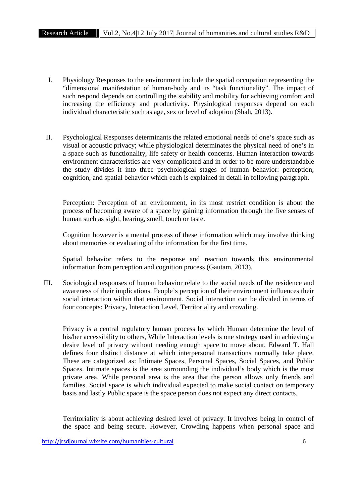- I. Physiology Responses to the environment include the spatial occupation representing the "dimensional manifestation of human-body and its "task functionality". The impact of such respond depends on controlling the stability and mobility for achieving comfort and increasing the efficiency and productivity. Physiological responses depend on each individual characteristic such as age, sex or level of adoption (Shah, 2013).
- II. Psychological Responses determinants the related emotional needs of one's space such as visual or acoustic privacy; while physiological determinates the physical need of one's in a space such as functionality, life safety or health concerns. Human interaction towards environment characteristics are very complicated and in order to be more understandable the study divides it into three psychological stages of human behavior: perception, cognition, and spatial behavior which each is explained in detail in following paragraph.

Perception: Perception of an environment, in its most restrict condition is about the process of becoming aware of a space by gaining information through the five senses of human such as sight, hearing, smell, touch or taste.

Cognition however is a mental process of these information which may involve thinking about memories or evaluating of the information for the first time.

Spatial behavior refers to the response and reaction towards this environmental information from perception and cognition process (Gautam, 2013).

III. Sociological responses of human behavior relate to the social needs of the residence and awareness of their implications. People's perception of their environment influences their social interaction within that environment. Social interaction can be divided in terms of four concepts: Privacy, Interaction Level, Territoriality and crowding.

Privacy is a central regulatory human process by which Human determine the level of his/her accessibility to others, While Interaction levels is one strategy used in achieving a desire level of privacy without needing enough space to move about. Edward T. Hall defines four distinct distance at which interpersonal transactions normally take place. These are categorized as: Intimate Spaces, Personal Spaces, Social Spaces, and Public Spaces. Intimate spaces is the area surrounding the individual's body which is the most private area. While personal area is the area that the person allows only friends and families. Social space is which individual expected to make social contact on temporary basis and lastly Public space is the space person does not expect any direct contacts.

Territoriality is about achieving desired level of privacy. It involves being in control of the space and being secure. However, Crowding happens when personal space and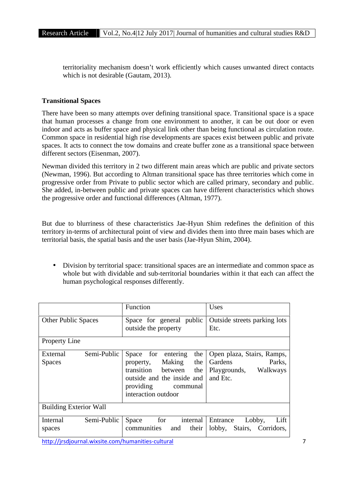territoriality mechanism doesn't work efficiently which causes unwanted direct contacts which is not desirable (Gautam, 2013).

# **Transitional Spaces**

There have been so many attempts over defining transitional space. Transitional space is a space that human processes a change from one environment to another, it can be out door or even indoor and acts as buffer space and physical link other than being functional as circulation route. Common space in residential high rise developments are spaces exist between public and private spaces. It acts to connect the tow domains and create buffer zone as a transitional space between different sectors (Eisenman, 2007).

Newman divided this territory in 2 two different main areas which are public and private sectors (Newman, 1996). But according to Altman transitional space has three territories which come in progressive order from Private to public sector which are called primary, secondary and public. She added, in-between public and private spaces can have different characteristics which shows the progressive order and functional differences (Altman, 1977).

But due to blurriness of these characteristics Jae-Hyun Shim redefines the definition of this territory in-terms of architectural point of view and divides them into three main bases which are territorial basis, the spatial basis and the user basis (Jae-Hyun Shim, 2004).

 Division by territorial space: transitional spaces are an intermediate and common space as whole but with dividable and sub-territorial boundaries within it that each can affect the human psychological responses differently.

|                                          | <b>Function</b>                                                                                                                                                    | Uses                                                                                           |
|------------------------------------------|--------------------------------------------------------------------------------------------------------------------------------------------------------------------|------------------------------------------------------------------------------------------------|
| <b>Other Public Spaces</b>               | Space for general public<br>outside the property                                                                                                                   | Outside streets parking lots<br>Etc.                                                           |
| <b>Property Line</b>                     |                                                                                                                                                                    |                                                                                                |
| Semi-Public<br>External<br><b>Spaces</b> | Space for entering<br>the<br>the<br>Making<br>property,<br>transition between<br>the<br>outside and the inside and<br>providing<br>communal<br>interaction outdoor | Open plaza, Stairs, Ramps,<br><b>Gardens</b><br>Parks.<br>Playgrounds,<br>Walkways<br>and Etc. |
| <b>Building Exterior Wall</b>            |                                                                                                                                                                    |                                                                                                |
| Semi-Public<br>Internal<br>spaces        | Space<br>for<br>internal<br>communities<br>their<br>and                                                                                                            | Lobby,<br>Entrance<br>Lift<br>Stairs, Corridors,<br>lobby,                                     |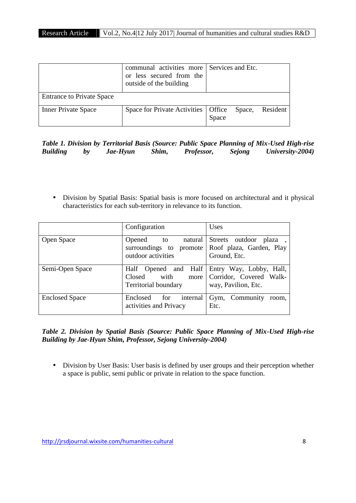|                                  | communal activities more Services and Etc.<br>or less secured from the<br>outside of the building |                 |          |
|----------------------------------|---------------------------------------------------------------------------------------------------|-----------------|----------|
| <b>Entrance to Private Space</b> |                                                                                                   |                 |          |
| <b>Inner Private Space</b>       | Space for Private Activities   Office                                                             | Space,<br>Space | Resident |

|                 |    |          |       |                   |        | Table 1. Division by Territorial Basis (Source: Public Space Planning of Mix-Used High-rise |  |
|-----------------|----|----------|-------|-------------------|--------|---------------------------------------------------------------------------------------------|--|
| <b>Building</b> | by | Jae-Hyun | Shim, | <i>Professor,</i> | Sejong | University-2004)                                                                            |  |

 Division by Spatial Basis: Spatial basis is more focused on architectural and it physical characteristics for each sub-territory in relevance to its function.

|                       | Configuration                                                                 | Uses                                                                            |
|-----------------------|-------------------------------------------------------------------------------|---------------------------------------------------------------------------------|
| Open Space            | Opened<br>natural<br>to<br>surroundings to promote<br>outdoor activities      | <b>Streets</b><br>outdoor<br>plaza,<br>Roof plaza, Garden, Play<br>Ground, Etc. |
| Semi-Open Space       | Half Opened and Half<br>with<br>Closed<br>more<br><b>Territorial boundary</b> | Entry Way, Lobby, Hall,<br>Corridor, Covered Walk-<br>way, Pavilion, Etc.       |
| <b>Enclosed Space</b> | Enclosed<br>for<br>internal<br>activities and Privacy                         | Gym, Community<br>room.<br>Etc.                                                 |

*Table 2. Division by Spatial Basis (Source: Public Space Planning of Mix-Used High-rise Building by Jae-Hyun Shim, Professor, Sejong University-2004)*

 Division by User Basis: User basis is defined by user groups and their perception whether a space is public, semi public or private in relation to the space function.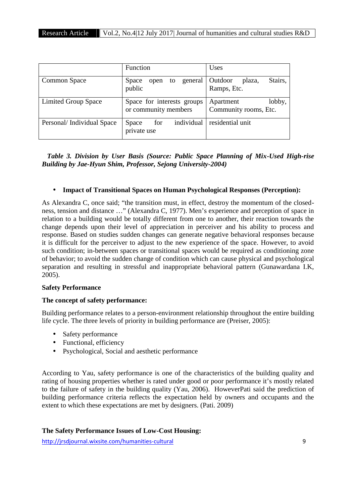|                           | <b>Function</b>                                                      | Uses                                         |
|---------------------------|----------------------------------------------------------------------|----------------------------------------------|
| Common Space              | general  <br><b>Space</b><br>to<br>open<br>public                    | Stairs,<br>Outdoor<br>plaza,<br>Ramps, Etc.  |
| Limited Group Space       | Space for interests groups<br>or community members                   | lobby,<br>Apartment<br>Community rooms, Etc. |
| Personal/Individual Space | residential unit<br>individual<br>for<br><b>Space</b><br>private use |                                              |

*Table 3. Division by User Basis (Source: Public Space Planning of Mix-Used High-rise Building by Jae-Hyun Shim, Professor, Sejong University-2004)*

# **Impact of Transitional Spaces on Human Psychological Responses (Perception):**

As Alexandra C, once said; "the transition must, in effect, destroy the momentum of the closed ness, tension and distance …" (Alexandra C, 1977). Men's experience and perception of space in relation to a building would be totally different from one to another, their reaction towards the change depends upon their level of appreciation in perceiver and his ability to process and response. Based on studies sudden changes can generate negative behavioral responses because it is difficult for the perceiver to adjust to the new experience of the space. However, to avoid such condition; in-between spaces or transitional spaces would be required as conditioning zone of behavior; to avoid the sudden change of condition which can cause physical and psychological separation and resulting in stressful and inappropriate behavioral pattern (Gunawardana I.K, 2005).

# **Safety Performance**

# **The concept of safety performance:**

Building performance relates to a person-environment relationship throughout the entire building life cycle. The three levels of priority in building performance are (Preiser, 2005):

- Safety performance
- Functional, efficiency
- Psychological, Social and aesthetic performance

According to Yau, safety performance is one of the characteristics of the building quality and rating of housing properties whether is rated under good or poor performance it's mostly related to the failure of safety in the building quality (Yau, 2006). HoweverPati said the prediction of building performance criteria reflects the expectation held by owners and occupants and the extent to which these expectations are met by designers. (Pati. 2009)

# **The Safety Performance Issues of Low-Cost Housing:**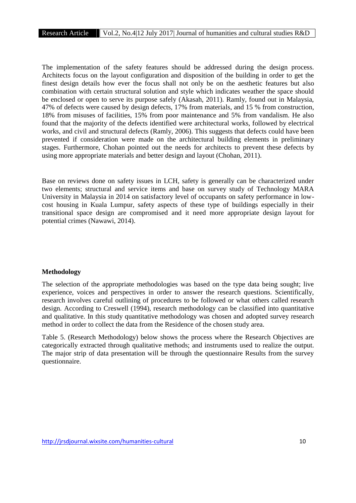The implementation of the safety features should be addressed during the design process. Architects focus on the layout configuration and disposition of the building in order to get the finest design details how ever the focus shall not only be on the aesthetic features but also combination with certain structural solution and style which indicates weather the space should be enclosed or open to serve its purpose safely (Akasah, 2011). Ramly, found out in Malaysia, 47% of defects were caused by design defects, 17% from materials, and 15 % from construction, 18% from misuses of facilities, 15% from poor maintenance and 5% from vandalism. He also found that the majority of the defects identified were architectural works, followed by electrical works, and civil and structural defects (Ramly, 2006). This suggests that defects could have been prevented if consideration were made on the architectural building elements in preliminary stages. Furthermore, Chohan pointed out the needs for architects to prevent these defects by using more appropriate materials and better design and layout (Chohan, 2011).

Base on reviews done on safety issues in LCH, safety is generally can be characterized under two elements; structural and service items and base on survey study of Technology MARA University in Malaysia in 2014 on satisfactory level of occupants on safety performance in low cost housing in Kuala Lumpur, safety aspects of these type of buildings especially in their transitional space design are compromised and it need more appropriate design layout for potential crimes (Nawawi, 2014).

#### **Methodology**

The selection of the appropriate methodologies was based on the type data being sought; live experience, voices and perspectives in order to answer the research questions. Scientifically, research involves careful outlining of procedures to be followed or what others called research design. According to Creswell (1994), research methodology can be classified into quantitative and qualitative. In this study quantitative methodology was chosen and adopted survey research method in order to collect the data from the Residence of the chosen study area.

Table 5. (Research Methodology) below shows the process where the Research Objectives are categorically extracted through qualitative methods; and instruments used to realize the output. The major strip of data presentation will be through the questionnaire Results from the survey questionnaire.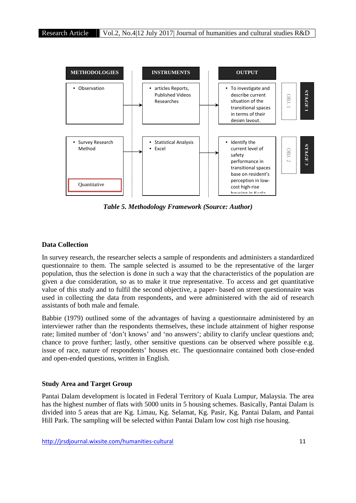

*Table 5. Methodology Framework (Source: Author)*

#### **Data Collection**

In survey research, the researcher selects a sample of respondents and administers a standardized questionnaire to them. The sample selected is assumed to be the representative of the larger population, thus the selection is done in such a way that the characteristics of the population are given a due consideration, so as to make it true representative. To access and get quantitative value of this study and to fulfil the second objective, a paper- based on street questionnaire was used in collecting the data from respondents, and were administered with the aid of research assistants of both male and female.

Babbie (1979) outlined some of the advantages of having a questionnaire administered by an interviewer rather than the respondents themselves, these include attainment of higher response rate; limited number of 'don't knows' and 'no answers'; ability to clarify unclear questions and; chance to prove further; lastly, other sensitive questions can be observed where possible e.g. issue of race, nature of respondents' houses etc. The questionnaire contained both close-ended and open-ended questions, written in English.

#### **Study Area and Target Group**

Pantai Dalam development is located in Federal Territory of Kuala Lumpur, Malaysia. The area has the highest number of flats with 5000 units in 5 housing schemes. Basically, Pantai Dalam is divided into 5 areas that are Kg. Limau, Kg. Selamat, Kg. Pasir, Kg. Pantai Dalam, and Pantai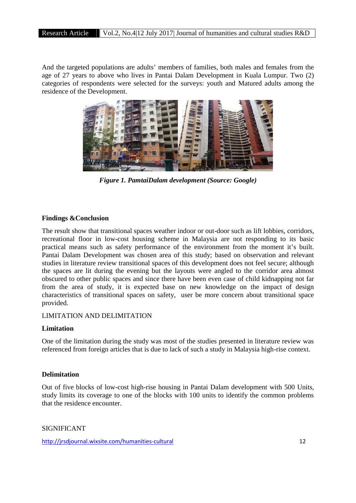And the targeted populations are adults' members of families, both males and females from the age of 27 years to above who lives in Pantai Dalam Development in Kuala Lumpur. Two (2) categories of respondents were selected for the surveys: youth and Matured adults among the residence of the Development.



*Figure 1. PamtaiDalam development (Source: Google)*

#### **Findings &Conclusion**

The result show that transitional spaces weather indoor or out-door such as lift lobbies, corridors, recreational floor in low-cost housing scheme in Malaysia are not responding to its basic practical means such as safety performance of the environment from the moment it's built. Pantai Dalam Development was chosen area of this study; based on observation and relevant studies in literature review transitional spaces of this development does not feel secure; although the spaces are lit during the evening but the layouts were angled to the corridor area almost obscured to other public spaces and since there have been even case of child kidnapping not far from the area of study, it is expected base on new knowledge on the impact of design characteristics of transitional spaces on safety, user be more concern about transitional space provided.

#### LIMITATION AND DELIMITATION

#### **Limitation**

One of the limitation during the study was most of the studies presented in literature review was referenced from foreign articles that is due to lack of such a study in Malaysia high-rise context.

#### **Delimitation**

Out of five blocks of low-cost high-rise housing in Pantai Dalam development with 500 Units, study limits its coverage to one of the blocks with 100 units to identify the common problems that the residence encounter.

SIGNIFICANT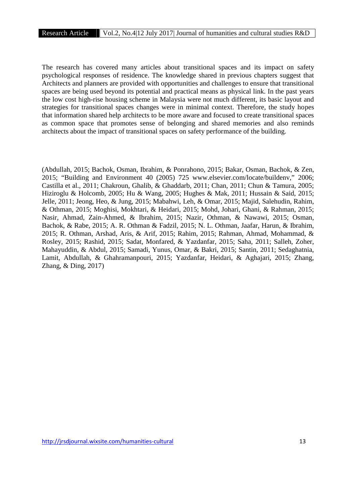The research has covered many articles about transitional spaces and its impact on safety psychological responses of residence. The knowledge shared in previous chapters suggest that Architects and planners are provided with opportunities and challenges to ensure that transitional spaces are being used beyond its potential and practical means as physical link. In the past years the low cost high-rise housing scheme in Malaysia were not much different, its basic layout and strategies for transitional spaces changes were in minimal context. Therefore, the study hopes that information shared help architects to be more aware and focused to create transitional spaces as common space that promotes sense of belonging and shared memories and also reminds architects about the impact of transitional spaces on safety performance of the building.

(Abdullah, 2015; Bachok, Osman, Ibrahim, & Ponrahono, 2015; Bakar, Osman, Bachok, & Zen, 2015; "Building and Environment 40 (2005) 725 www.elsevier.com/locate/buildenv," 2006; Castilla et al., 2011; Chakroun, Ghalib, & Ghaddarb, 2011; Chan, 2011; Chun & Tamura, 2005; Hiziroglu & Holcomb, 2005; Hu & Wang, 2005; Hughes & Mak, 2011; Hussain & Said, 2015; Jelle, 2011; Jeong, Heo, & Jung, 2015; Mabahwi, Leh, & Omar, 2015; Majid, Salehudin, Rahim, & Othman, 2015; Moghisi, Mokhtari, & Heidari, 2015; Mohd, Johari, Ghani, & Rahman, 2015; Nasir, Ahmad, Zain-Ahmed, & Ibrahim, 2015; Nazir, Othman, & Nawawi, 2015; Osman, Bachok, & Rabe, 2015; A. R. Othman & Fadzil, 2015; N. L. Othman, Jaafar, Harun, & Ibrahim, 2015; R. Othman, Arshad, Aris, & Arif, 2015; Rahim, 2015; Rahman, Ahmad, Mohammad, & Rosley, 2015; Rashid, 2015; Sadat, Monfared, & Yazdanfar, 2015; Saha, 2011; Salleh, Zoher, Mahayuddin, & Abdul, 2015; Samadi, Yunus, Omar, & Bakri, 2015; Santin, 2011; Sedaghatnia, Lamit, Abdullah, & Ghahramanpouri, 2015; Yazdanfar, Heidari, & Aghajari, 2015; Zhang, Zhang, & Ding, 2017)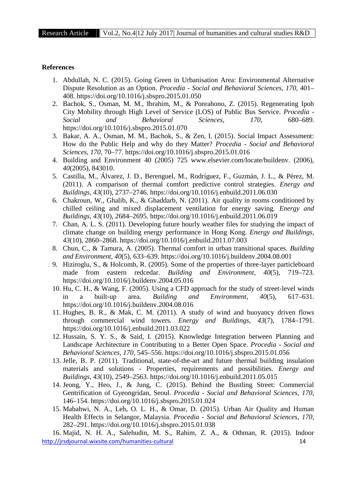#### **References**

- 1. Abdullah, N. C. (2015). Going Green in Urbanisation Area: Environmental Alternative Dispute Resolution as an Option. *Procedia - Social and Behavioral Sciences*, *170*, 401– 408. https://doi.org/10.1016/j.sbspro.2015.01.050
- 2. Bachok, S., Osman, M. M., Ibrahim, M., & Ponrahono, Z. (2015). Regenerating Ipoh City Mobility through High Level of Service (LOS) of Public Bus Service. *Procedia - Social and Behavioral Sciences*, *170*, 680–689. https://doi.org/10.1016/j.sbspro.2015.01.070
- 3. Bakar, A. A., Osman, M. M., Bachok, S., & Zen, I. (2015). Social Impact Assessment: How do the Public Help and why do they Matter? *Procedia - Social and Behavioral Sciences*, *170*, 70–77. https://doi.org/10.1016/j.sbspro.2015.01.016
- 4. Building and Environment 40 (2005) 725 www.elsevier.com/locate/buildenv. (2006), *40*(2005), 843010.
- 5. Castilla, M., Álvarez, J. D., Berenguel, M., Rodríguez, F., Guzmán, J. L., & Pérez, M. (2011). A comparison of thermal comfort predictive control strategies. *Energy and Buildings*, *43*(10), 2737–2746. https://doi.org/10.1016/j.enbuild.2011.06.030
- 6. Chakroun, W., Ghalib, K., & Ghaddarb, N. (2011). Air quality in rooms conditioned by chilled ceiling and mixed displacement ventilation for energy saving. *Energy and Buildings*, *43*(10), 2684–2695. https://doi.org/10.1016/j.enbuild.2011.06.019
- 7. Chan, A. L. S. (2011). Developing future hourly weather files for studying the impact of climate change on building energy performance in Hong Kong. *Energy and Buildings*, *43*(10), 2860–2868. https://doi.org/10.1016/j.enbuild.2011.07.003
- 8. Chun, C., & Tamura, A. (2005). Thermal comfort in urban transitional spaces. *Building and Environment*, *40*(5), 633–639. https://doi.org/10.1016/j.buildenv.2004.08.001
- 9. Hiziroglu, S., & Holcomb, R. (2005). Some of the properties of three-layer particleboard made from eastern redcedar. *Building and Environment*, *40*(5), 719–723. https://doi.org/10.1016/j.buildenv.2004.05.016
- 10. Hu, C. H., & Wang, F. (2005). Using a CFD approach for the study of street-level winds in a built-up area. *Building and Environment*, *40*(5), 617–631. https://doi.org/10.1016/j.buildenv.2004.08.016
- 11. Hughes, B. R., & Mak, C. M. (2011). A study of wind and buoyancy driven flows through commercial wind towers. *Energy and Buildings*, *43*(7), 1784–1791. https://doi.org/10.1016/j.enbuild.2011.03.022
- 12. Hussain, S. Y. S., & Said, I. (2015). Knowledge Integration between Planning and Landscape Architecture in Contributing to a Better Open Space. *Procedia - Social and Behavioral Sciences*, *170*, 545–556. https://doi.org/10.1016/j.sbspro.2015.01.056
- 13. Jelle, B. P. (2011). Traditional, state-of-the-art and future thermal building insulation materials and solutions - Properties, requirements and possibilities. *Energy and Buildings*, *43*(10), 2549–2563. https://doi.org/10.1016/j.enbuild.2011.05.015
- 14. Jeong, Y., Heo, J., & Jung, C. (2015). Behind the Bustling Street: Commercial Gentrification of Gyeongridan, Seoul. *Procedia - Social and Behavioral Sciences*, *170*, 146–154. https://doi.org/10.1016/j.sbspro.2015.01.024
- 15. Mabahwi, N. A., Leh, O. L. H., & Omar, D. (2015). Urban Air Quality and Human Health Effects in Selangor, Malaysia. *Procedia - Social and Behavioral Sciences*, *170*, 282–291. https://doi.org/10.1016/j.sbspro.2015.01.038

http://jrsdjournal.wixsite.com/humanities-cultural 14 16. Majid, N. H. A., Salehudin, M. S., Rahim, Z. A., & Othman, R. (2015). Indoor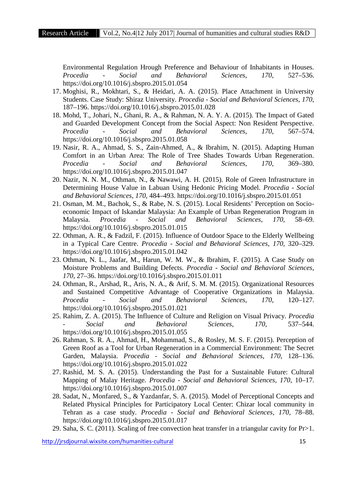Environmental Regulation Hrough Preference and Behaviour of Inhabitants in Houses. *Procedia - Social and Behavioral Sciences*, *170*, 527–536. https://doi.org/10.1016/j.sbspro.2015.01.054

- 17. Moghisi, R., Mokhtari, S., & Heidari, A. A. (2015). Place Attachment in University Students. Case Study: Shiraz University. *Procedia - Social and Behavioral Sciences*, *170*, 187–196. https://doi.org/10.1016/j.sbspro.2015.01.028
- 18. Mohd, T., Johari, N., Ghani, R. A., & Rahman, N. A. Y. A. (2015). The Impact of Gated and Guarded Development Concept from the Social Aspect: Non Resident Perspective. *Procedia - Social and Behavioral Sciences*, *170*, 567–574. https://doi.org/10.1016/j.sbspro.2015.01.058
- 19. Nasir, R. A., Ahmad, S. S., Zain-Ahmed, A., & Ibrahim, N. (2015). Adapting Human Comfort in an Urban Area: The Role of Tree Shades Towards Urban Regeneration. *Procedia - Social and Behavioral Sciences*, *170*, 369–380. https://doi.org/10.1016/j.sbspro.2015.01.047
- 20. Nazir, N. N. M., Othman, N., & Nawawi, A. H. (2015). Role of Green Infrastructure in Determining House Value in Labuan Using Hedonic Pricing Model. *Procedia - Social and Behavioral Sciences*, *170*, 484–493. https://doi.org/10.1016/j.sbspro.2015.01.051
- 21. Osman, M. M., Bachok, S., & Rabe, N. S. (2015). Local Residents' Perception on Socio economic Impact of Iskandar Malaysia: An Example of Urban Regeneration Program in Malaysia. *Procedia - Social and Behavioral Sciences*, *170*, 58–69. https://doi.org/10.1016/j.sbspro.2015.01.015
- 22. Othman, A. R., & Fadzil, F. (2015). Influence of Outdoor Space to the Elderly Wellbeing in a Typical Care Centre. *Procedia - Social and Behavioral Sciences*, *170*, 320–329. https://doi.org/10.1016/j.sbspro.2015.01.042
- 23. Othman, N. L., Jaafar, M., Harun, W. M. W., & Ibrahim, F. (2015). A Case Study on Moisture Problems and Building Defects. *Procedia - Social and Behavioral Sciences*, *170*, 27–36. https://doi.org/10.1016/j.sbspro.2015.01.011
- 24. Othman, R., Arshad, R., Aris, N. A., & Arif, S. M. M. (2015). Organizational Resources and Sustained Competitive Advantage of Cooperative Organizations in Malaysia. *Procedia - Social and Behavioral Sciences*, *170*, 120–127. https://doi.org/10.1016/j.sbspro.2015.01.021
- 25. Rahim, Z. A. (2015). The Influence of Culture and Religion on Visual Privacy. *Procedia - Social and Behavioral Sciences*, *170*, 537–544. https://doi.org/10.1016/j.sbspro.2015.01.055
- 26. Rahman, S. R. A., Ahmad, H., Mohammad, S., & Rosley, M. S. F. (2015). Perception of Green Roof as a Tool for Urban Regeneration in a Commercial Environment: The Secret Garden, Malaysia. *Procedia - Social and Behavioral Sciences*, *170*, 128–136. https://doi.org/10.1016/j.sbspro.2015.01.022
- 27. Rashid, M. S. A. (2015). Understanding the Past for a Sustainable Future: Cultural Mapping of Malay Heritage. *Procedia - Social and Behavioral Sciences*, *170*, 10–17. https://doi.org/10.1016/j.sbspro.2015.01.007
- 28. Sadat, N., Monfared, S., & Yazdanfar, S. A. (2015). Model of Perceptional Concepts and Related Physical Principles for Participatory Local Center: Chizar local community in Tehran as a case study. *Procedia - Social and Behavioral Sciences*, *170*, 78–88. https://doi.org/10.1016/j.sbspro.2015.01.017
- 29. Saha, S. C. (2011). Scaling of free convection heat transfer in a triangular cavity for Pr>1.